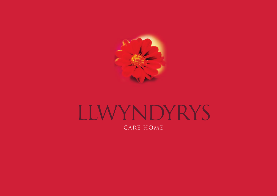

## LLWYNDYRYS CARE HOME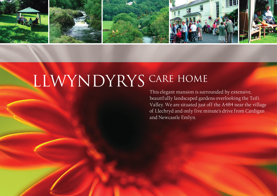

# LLWYNDYRYS CARE HOME

This elegant mansion is surrounded by extensive, beautifully landscaped gardens overlooking the Teifi Valley. We are situated just off the A484 near the village of Llechryd and only five minute's drive from Cardigan and Newcastle Emlyn.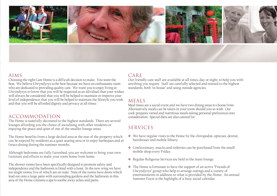

#### AIMS

Choosing the right Care Home is a difficult decision to make. You want the best. We believe Llwyndyrys is the best because we have an enthusiastic team who are dedicated to providing quality care. We want you to enjoy living at Llwyndyrys; to know that you will be respected as an idividual; that your wishes will always be considered; that you will be helped to maintain or improve your level of independence; that you will be helped to maintain the lifestyle you wish and that you will be afforded dignity and privacy at all times.

#### ACCOMMODATION

The Home is tastefully decorated to the highest standards. There are several lounges affording you the choice of socialising with other residents or enjoying the peace and quiet of one of the smaller lounge areas.

The Home benefits from a large decked area at the rear of the property which can be enjoyed by residents as a quiet seating area or to enjoy barbeques and al fresco dining during the summer months.

Although bedrooms are fully furnished, you are welcome to bring your own furniture and effects to make your room home from home.

The shower rooms have been specifically designed to promote safety and independence and the bathroom is fitted with a hoist. In the new wing we have ten single rooms, five of which are en-suite. Nine of the rooms have doors which lead out onto a large patio with surrounding gardens and the bathroom in this area of the Home contains a spa to soothe away aches and pains.

#### CARE

Our friendly care staff are available at all times, day or night, to help you with anything you require. Staff are carefully selected and trained to the highest standards, both "in house" and using outside agencies.

#### MEALS

Meal times are a social event and we have two dining areas to choose from. Alternatively meals can be taken in your room should you so wish. Our cook prepares varied and nutritious meals taking personal preferences into consideration. Special diets are also catered for.

### SERVICES

- ❖ We have regular visits to the Home by the chiropodist, optician, dentist, hairdresser and mobile library.
- ❖ Confectionary, snacks and toiletries can be purchased from the small mobile shop every Friday.
- ❖ Regular Religeous Services are held in the main lounge.
- ❖ The Home is fortunate to have the support of an active "Friends of Llwyndyrys" group who help to arrange outings and a variety of entertainments in addition to what is provided by the Home. An annual Summer Fayre is the highlight of a busy social calendar.